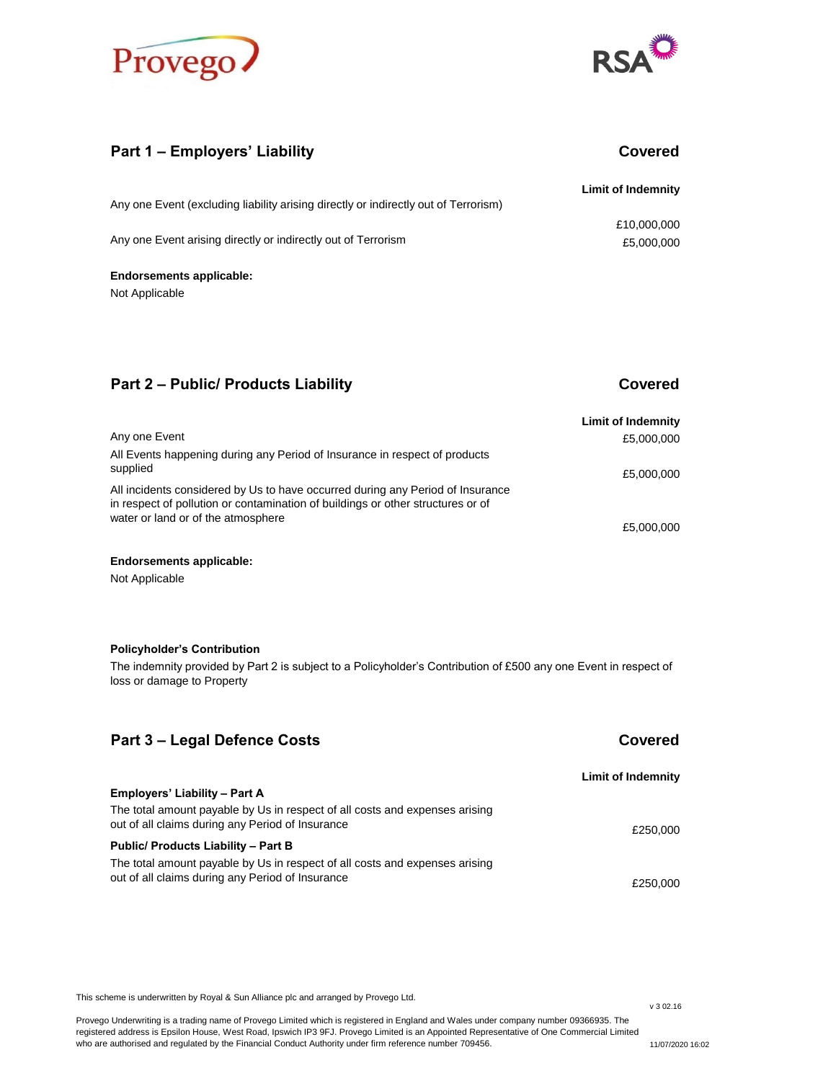



# **Part 1 – Employers' Liability Covered**

| Any one Event (excluding liability arising directly or indirectly out of Terrorism) | <b>Limit of Indemnity</b> |
|-------------------------------------------------------------------------------------|---------------------------|
| Any one Event arising directly or indirectly out of Terrorism                       | £10,000,000<br>£5,000,000 |
| <b>Endorsements applicable:</b>                                                     |                           |

Not Applicable

# **Part 2 – Public/ Products Liability <b>Covered Covered**

|                                                                                                                                                                   | <b>Limit of Indemnity</b> |
|-------------------------------------------------------------------------------------------------------------------------------------------------------------------|---------------------------|
| Any one Event                                                                                                                                                     | £5,000,000                |
| All Events happening during any Period of Insurance in respect of products                                                                                        |                           |
| supplied                                                                                                                                                          | £5,000,000                |
| All incidents considered by Us to have occurred during any Period of Insurance<br>in respect of pollution or contamination of buildings or other structures or of |                           |
| water or land or of the atmosphere                                                                                                                                | £5,000,000                |

### **Endorsements applicable:**

Not Applicable

### **Policyholder's Contribution**

The indemnity provided by Part 2 is subject to a Policyholder's Contribution of £500 any one Event in respect of loss or damage to Property

| Part 3 – Legal Defence Costs                                                                                                    | Covered            |
|---------------------------------------------------------------------------------------------------------------------------------|--------------------|
|                                                                                                                                 | Limit of Indemnity |
| <b>Employers' Liability - Part A</b>                                                                                            |                    |
| The total amount payable by Us in respect of all costs and expenses arising<br>out of all claims during any Period of Insurance | £250,000           |
| Public/ Products Liability - Part B                                                                                             |                    |
| The total amount payable by Us in respect of all costs and expenses arising<br>out of all claims during any Period of Insurance | £250.000           |

This scheme is underwritten by Royal & Sun Alliance plc and arranged by Provego Ltd.

Provego Underwriting is a trading name of Provego Limited which is registered in England and Wales under company number 09366935. The registered address is Epsilon House, West Road, Ipswich IP3 9FJ. Provego Limited is an Appointed Representative of One Commercial Limited who are authorised and regulated by the Financial Conduct Authority under firm reference number 709456.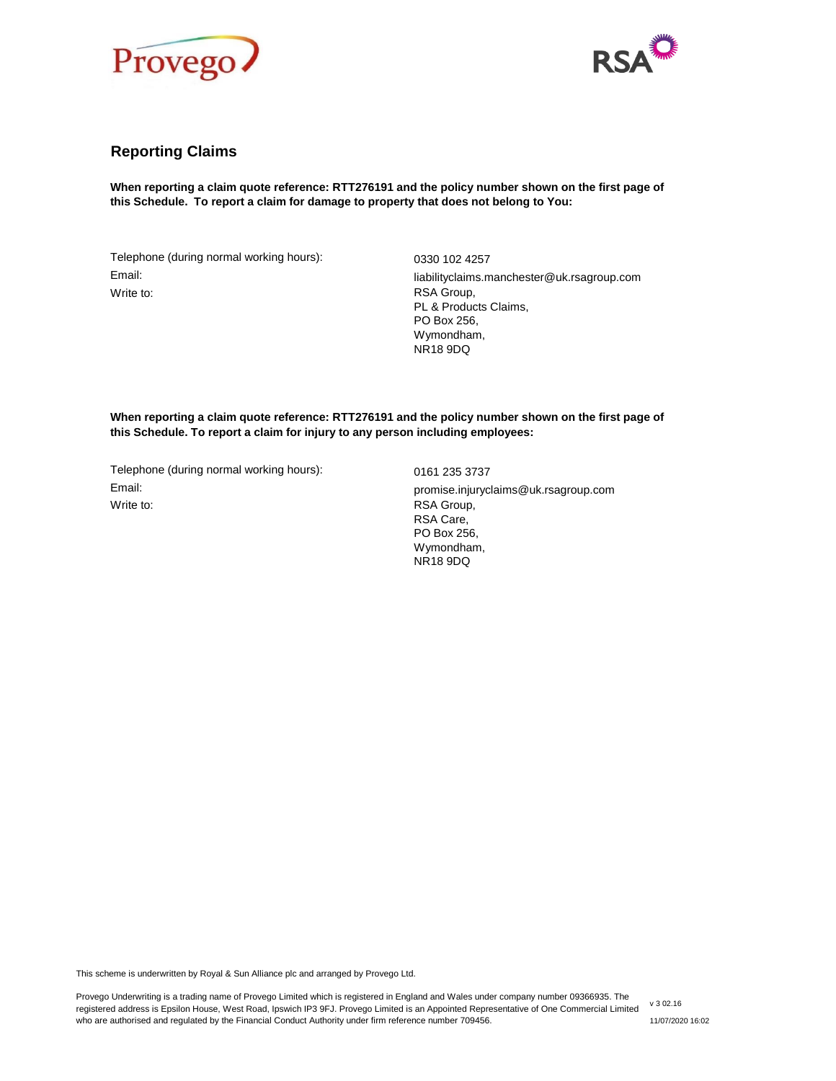



# **Reporting Claims**

**When reporting a claim quote reference: RTT276191 and the policy number shown on the first page of this Schedule. To report a claim for damage to property that does not belong to You:**

Telephone (during normal working hours): 0330 102 4257 Email: Write to:

liabilityclaims.manchester@uk.rsagroup.com RSA Group, PL & Products Claims, PO Box 256, Wymondham, NR18 9DQ

**When reporting a claim quote reference: RTT276191 and the policy number shown on the first page of this Schedule. To report a claim for injury to any person including employees:**

Telephone (during normal working hours): 0161 235 3737 Email: promise.injuryclaims@uk.rsagroup.com Write to: **RSA Group,** 

RSA Care, PO Box 256, Wymondham, NR18 9DQ

This scheme is underwritten by Royal & Sun Alliance plc and arranged by Provego Ltd.